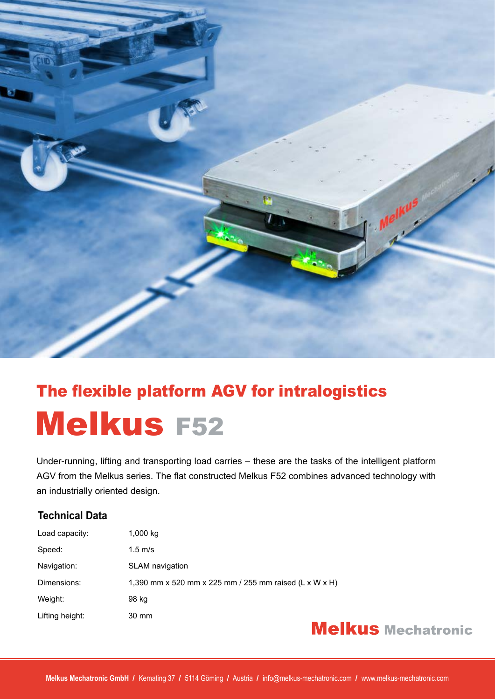

## The flexible platform AGV for intralogistics Melkus F52

Under-running, lifting and transporting load carries – these are the tasks of the intelligent platform AGV from the Melkus series. The flat constructed Melkus F52 combines advanced technology with an industrially oriented design.

### **Technical Data**

| Load capacity:  | $1,000$ kg                                             |
|-----------------|--------------------------------------------------------|
| Speed:          | $1.5 \text{ m/s}$                                      |
| Navigation:     | <b>SLAM</b> navigation                                 |
| Dimensions:     | 1,390 mm x 520 mm x 225 mm / 255 mm raised (L x W x H) |
| Weight:         | 98 kg                                                  |
| Lifting height: | 30 mm                                                  |

### **Melkus Mechatronic**